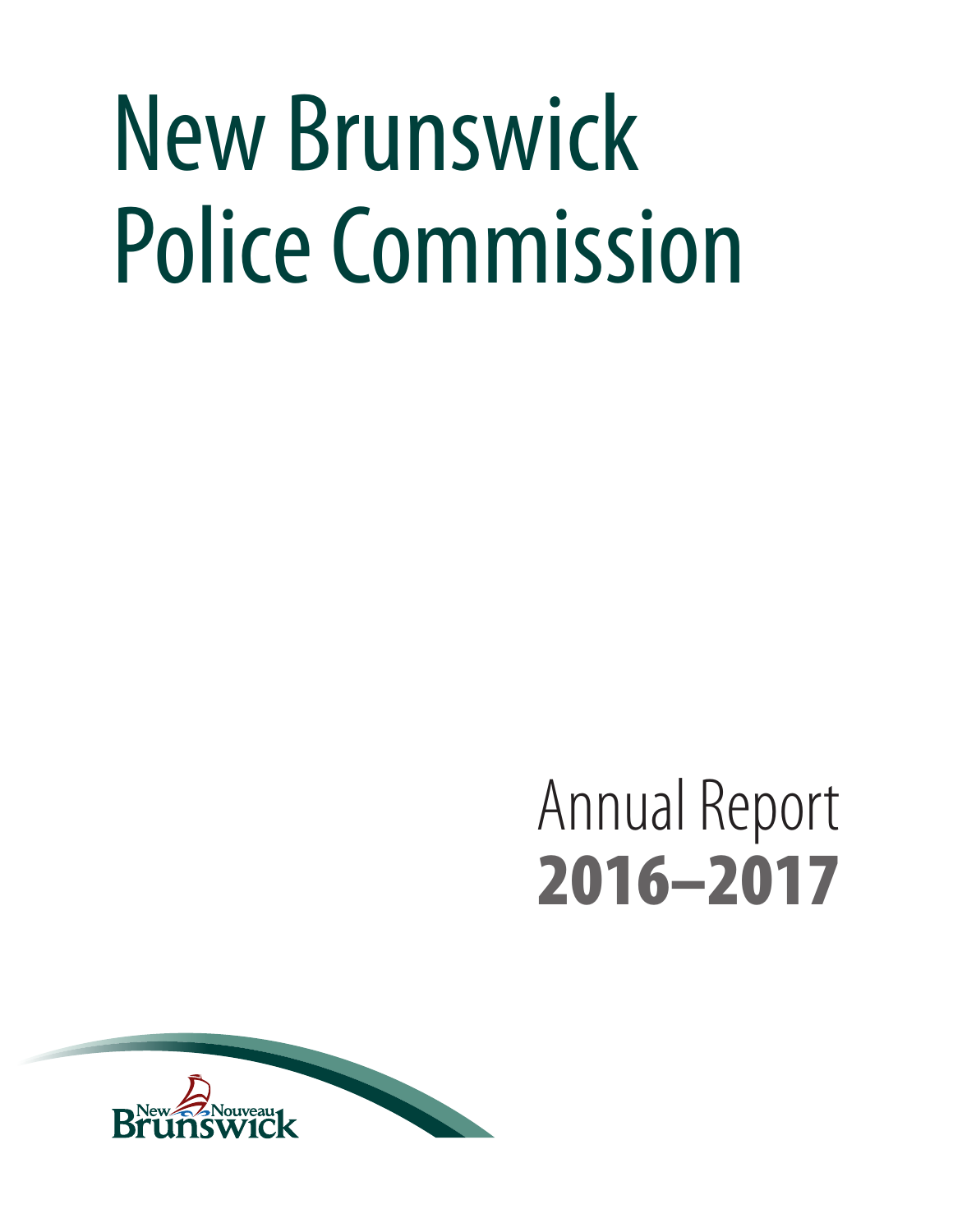# New Brunswick Police Commission

# Annual Report 2016–2017

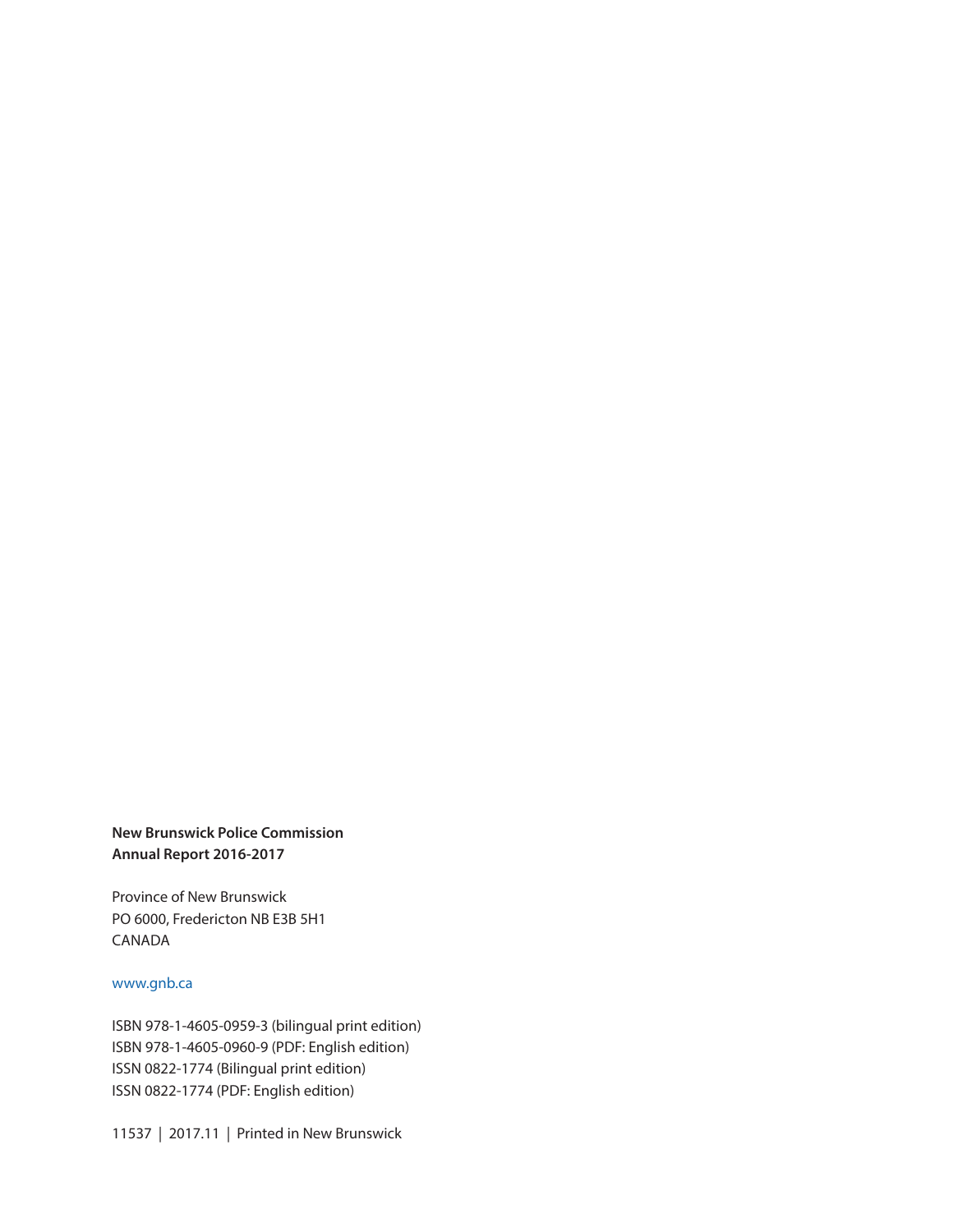#### **New Brunswick Police Commission Annual Report 2016-2017**

Province of New Brunswick PO 6000, Fredericton NB E3B 5H1 CANADA

#### www.gnb.ca

ISBN 978-1-4605-0959-3 (bilingual print edition) ISBN 978-1-4605-0960-9 (PDF: English edition) ISSN 0822-1774 (Bilingual print edition) ISSN 0822-1774 (PDF: English edition)

11537 | 2017.11 | Printed in New Brunswick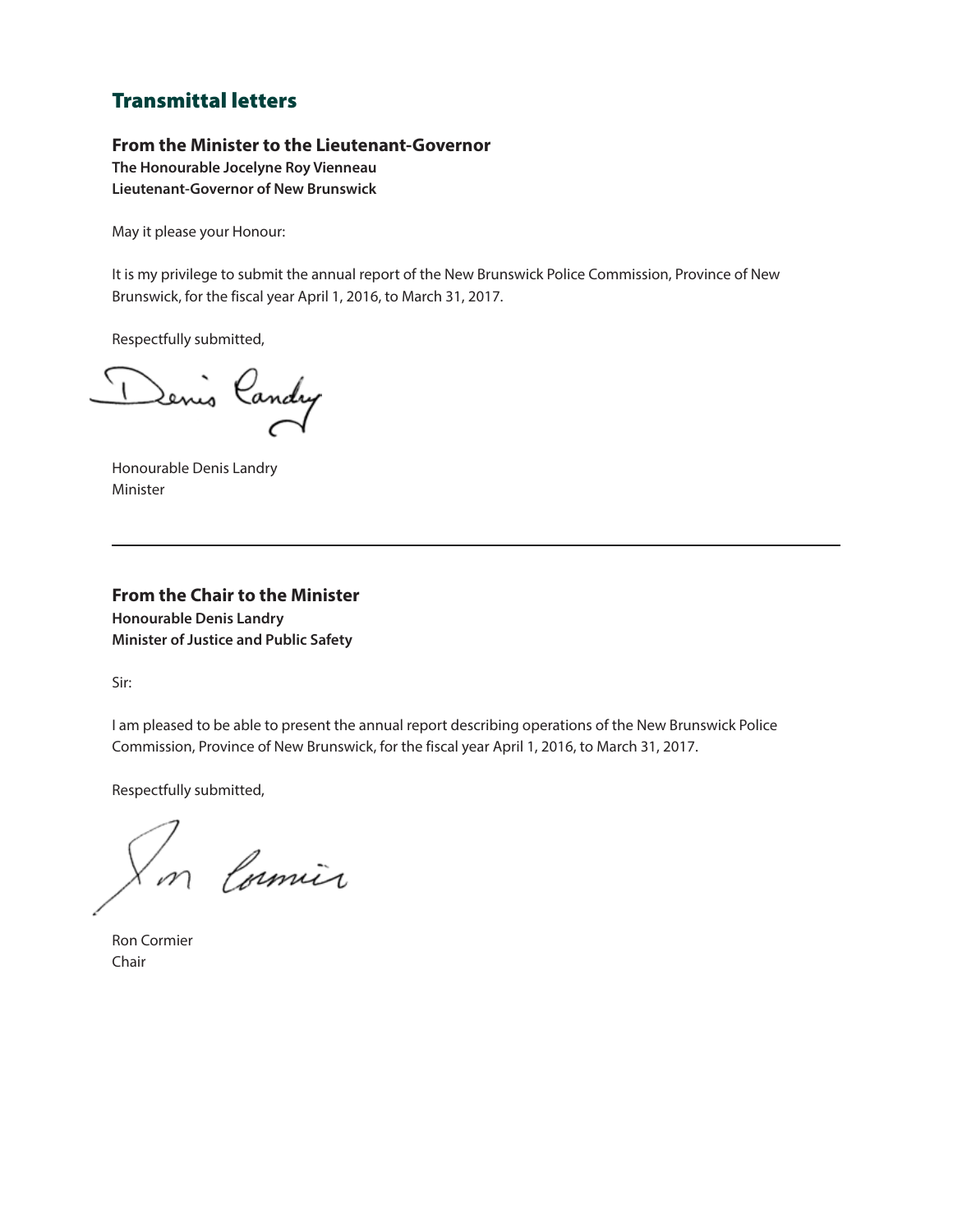#### Transmittal letters

#### **From the Minister to the Lieutenant-Governor**

**The Honourable Jocelyne Roy Vienneau Lieutenant-Governor of New Brunswick**

May it please your Honour:

It is my privilege to submit the annual report of the New Brunswick Police Commission, Province of New Brunswick, for the fiscal year April 1, 2016, to March 31, 2017.

Respectfully submitted,

Denis Candry

Honourable Denis Landry Minister

**From the Chair to the Minister Honourable Denis Landry Minister of Justice and Public Safety**

Sir:

I am pleased to be able to present the annual report describing operations of the New Brunswick Police Commission, Province of New Brunswick, for the fiscal year April 1, 2016, to March 31, 2017.

Respectfully submitted,

m Comin

Ron Cormier Chair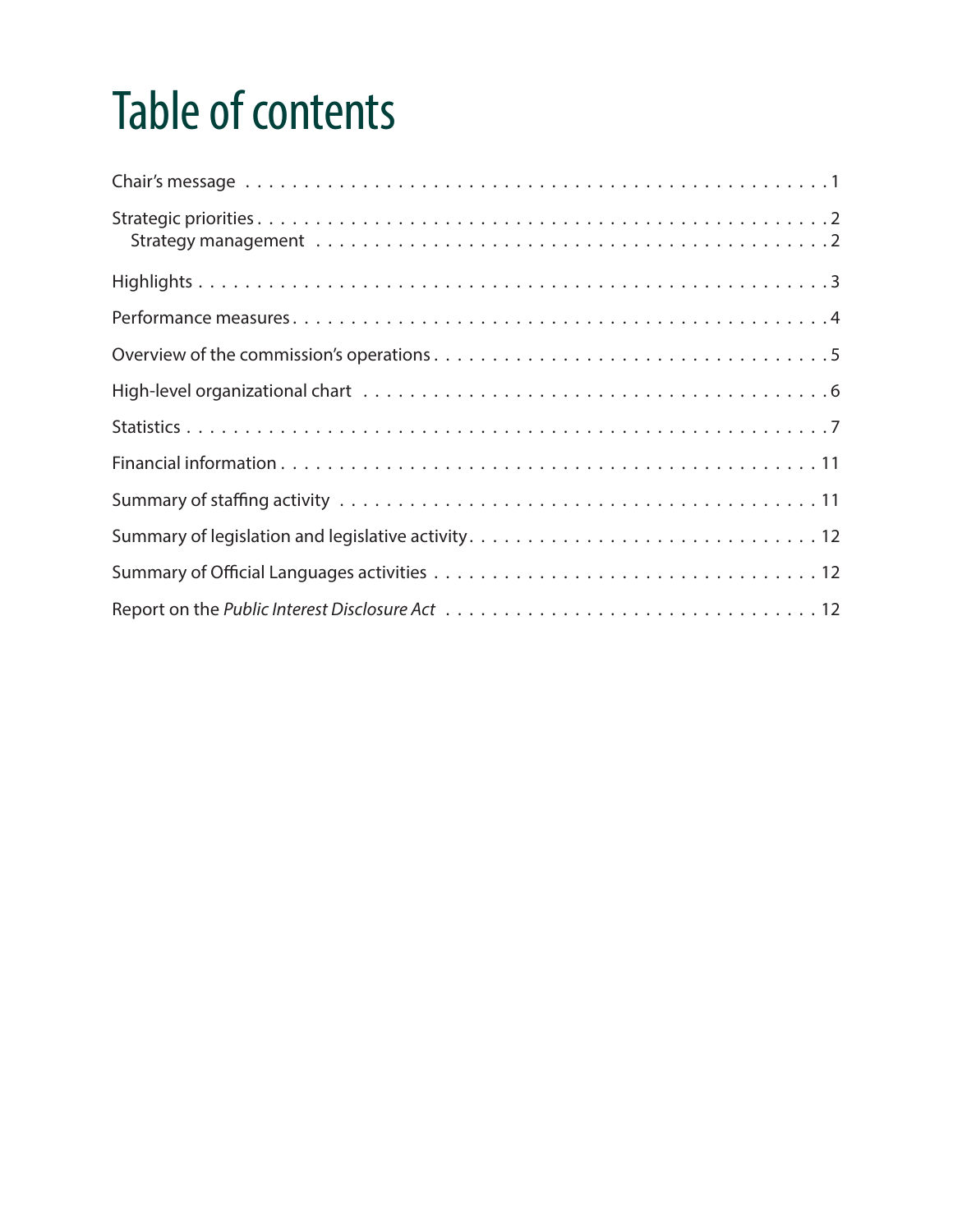# Table of contents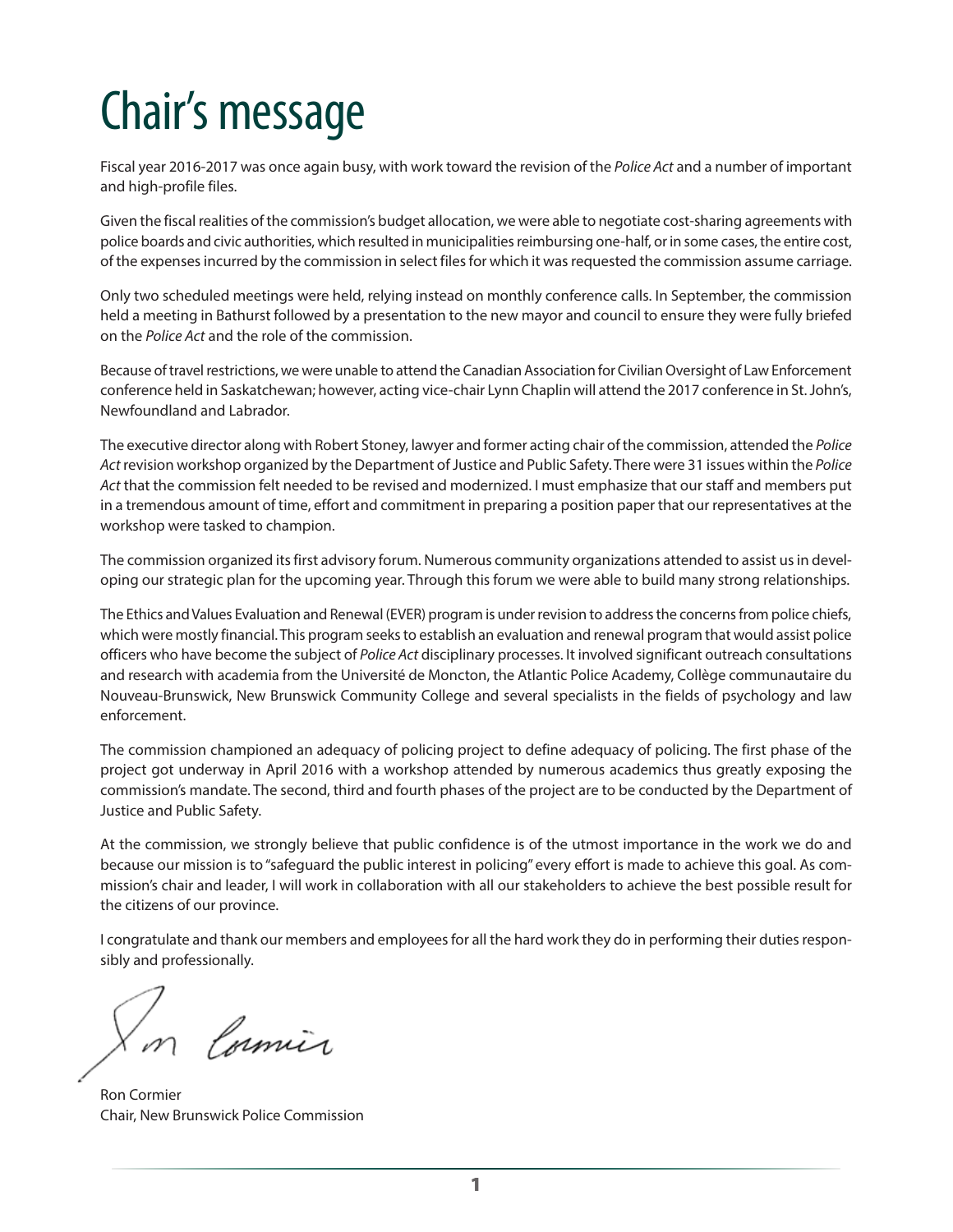### <span id="page-6-0"></span>Chair's message

Fiscal year 2016-2017 was once again busy, with work toward the revision of the *Police Act* and a number of important and high-profile files.

Given the fiscal realities of the commission's budget allocation, we were able to negotiate cost-sharing agreements with police boards and civic authorities, which resulted in municipalities reimbursing one-half, or in some cases, the entire cost, of the expenses incurred by the commission in select files for which it was requested the commission assume carriage.

Only two scheduled meetings were held, relying instead on monthly conference calls. In September, the commission held a meeting in Bathurst followed by a presentation to the new mayor and council to ensure they were fully briefed on the *Police Act* and the role of the commission.

Because of travel restrictions, we were unable to attend the Canadian Association for Civilian Oversight of Law Enforcement conference held in Saskatchewan; however, acting vice-chair Lynn Chaplin will attend the 2017 conference in St. John's, Newfoundland and Labrador.

The executive director along with Robert Stoney, lawyer and former acting chair of the commission, attended the *Police Act* revision workshop organized by the Department of Justice and Public Safety. There were 31 issues within the *Police Act* that the commission felt needed to be revised and modernized. I must emphasize that our staff and members put in a tremendous amount of time, effort and commitment in preparing a position paper that our representatives at the workshop were tasked to champion.

The commission organized its first advisory forum. Numerous community organizations attended to assist us in developing our strategic plan for the upcoming year. Through this forum we were able to build many strong relationships.

The Ethics and Values Evaluation and Renewal (EVER) program is under revision to address the concerns from police chiefs, which were mostly financial. This program seeks to establish an evaluation and renewal program that would assist police officers who have become the subject of *Police Act* disciplinary processes. It involved significant outreach consultations and research with academia from the Université de Moncton, the Atlantic Police Academy, Collège communautaire du Nouveau-Brunswick, New Brunswick Community College and several specialists in the fields of psychology and law enforcement.

The commission championed an adequacy of policing project to define adequacy of policing. The first phase of the project got underway in April 2016 with a workshop attended by numerous academics thus greatly exposing the commission's mandate. The second, third and fourth phases of the project are to be conducted by the Department of Justice and Public Safety.

At the commission, we strongly believe that public confidence is of the utmost importance in the work we do and because our mission is to "safeguard the public interest in policing" every effort is made to achieve this goal. As commission's chair and leader, I will work in collaboration with all our stakeholders to achieve the best possible result for the citizens of our province.

I congratulate and thank our members and employees for all the hard work they do in performing their duties responsibly and professionally.

Cormier

Ron Cormier Chair, New Brunswick Police Commission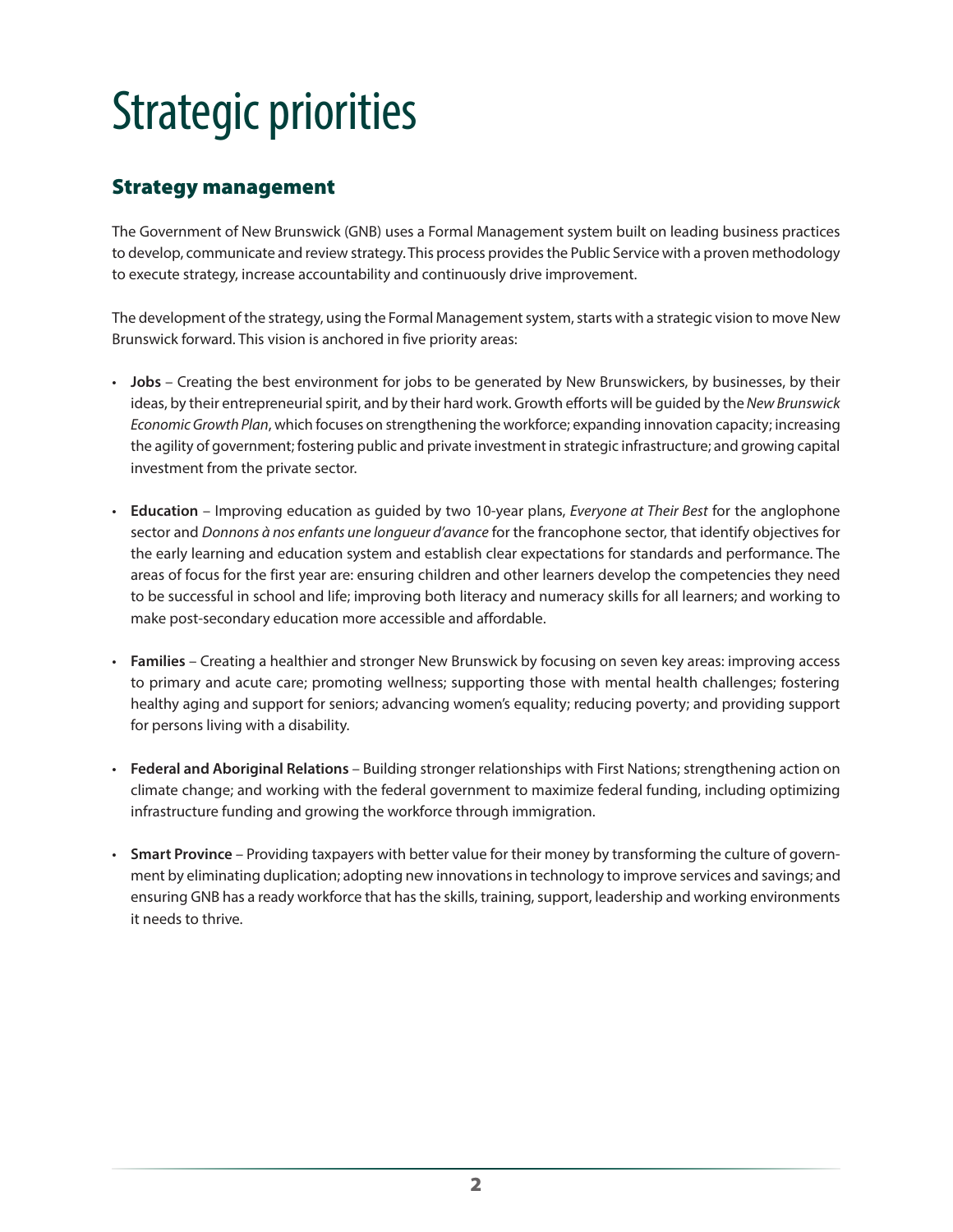### <span id="page-7-0"></span>Strategic priorities

#### Strategy management

The Government of New Brunswick (GNB) uses a Formal Management system built on leading business practices to develop, communicate and review strategy. This process provides the Public Service with a proven methodology to execute strategy, increase accountability and continuously drive improvement.

The development of the strategy, using the Formal Management system, starts with a strategic vision to move New Brunswick forward. This vision is anchored in five priority areas:

- **Jobs** Creating the best environment for jobs to be generated by New Brunswickers, by businesses, by their ideas, by their entrepreneurial spirit, and by their hard work. Growth efforts will be guided by the *New Brunswick Economic Growth Plan*, which focuses on strengthening the workforce; expanding innovation capacity; increasing the agility of government; fostering public and private investment in strategic infrastructure; and growing capital investment from the private sector.
- **Education** Improving education as guided by two 10-year plans, *Everyone at Their Best* for the anglophone sector and *Donnons à nos enfants une longueur d'avance* for the francophone sector, that identify objectives for the early learning and education system and establish clear expectations for standards and performance. The areas of focus for the first year are: ensuring children and other learners develop the competencies they need to be successful in school and life; improving both literacy and numeracy skills for all learners; and working to make post-secondary education more accessible and affordable.
- **Families** Creating a healthier and stronger New Brunswick by focusing on seven key areas: improving access to primary and acute care; promoting wellness; supporting those with mental health challenges; fostering healthy aging and support for seniors; advancing women's equality; reducing poverty; and providing support for persons living with a disability.
- **Federal and Aboriginal Relations** Building stronger relationships with First Nations; strengthening action on climate change; and working with the federal government to maximize federal funding, including optimizing infrastructure funding and growing the workforce through immigration.
- **Smart Province** Providing taxpayers with better value for their money by transforming the culture of government by eliminating duplication; adopting new innovations in technology to improve services and savings; and ensuring GNB has a ready workforce that has the skills, training, support, leadership and working environments it needs to thrive.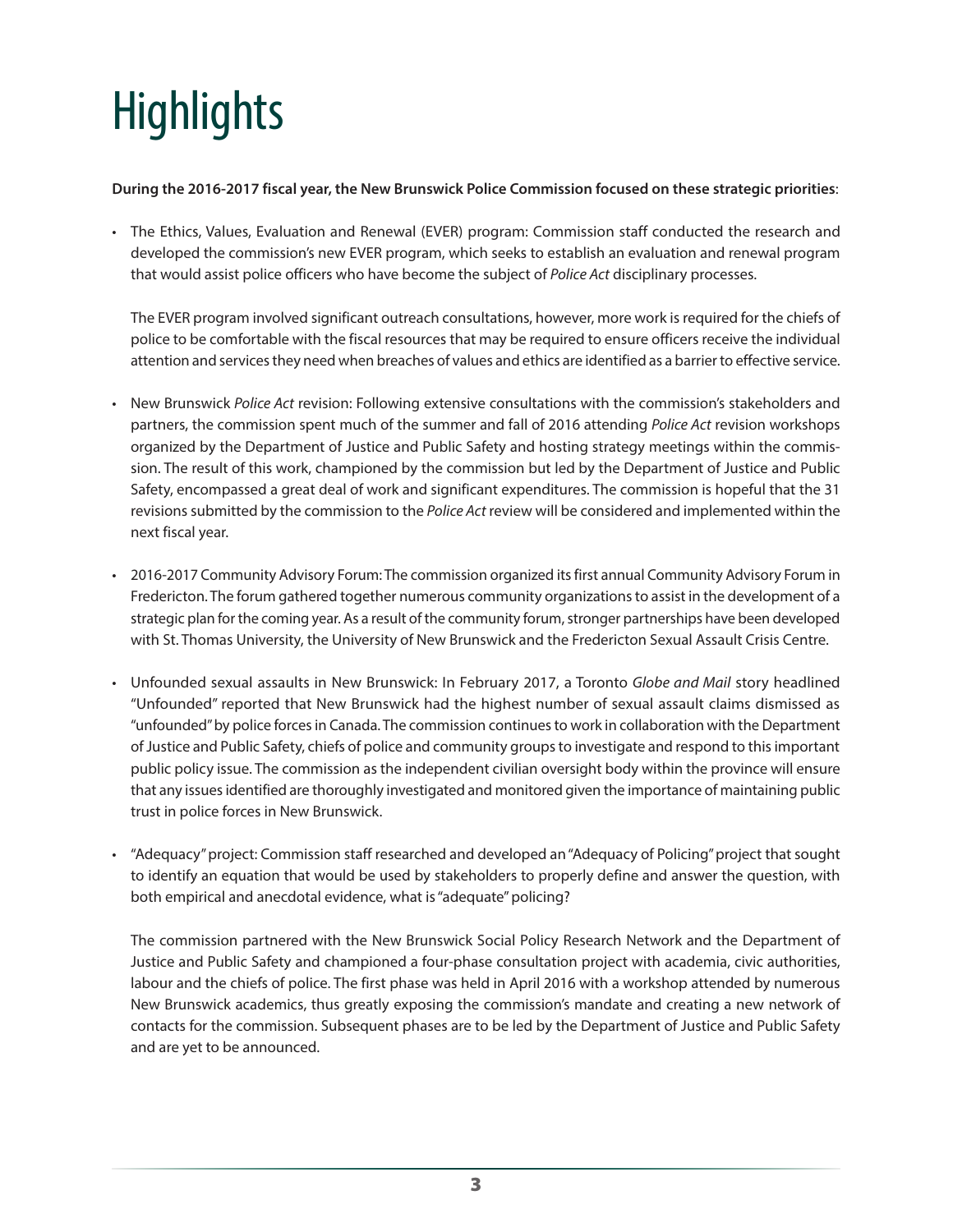# <span id="page-8-0"></span>**Highlights**

#### **During the 2016-2017 fiscal year, the New Brunswick Police Commission focused on these strategic priorities**:

• The Ethics, Values, Evaluation and Renewal (EVER) program: Commission staff conducted the research and developed the commission's new EVER program, which seeks to establish an evaluation and renewal program that would assist police officers who have become the subject of *Police Act* disciplinary processes.

The EVER program involved significant outreach consultations, however, more work is required for the chiefs of police to be comfortable with the fiscal resources that may be required to ensure officers receive the individual attention and services they need when breaches of values and ethics are identified as a barrier to effective service.

- New Brunswick *Police Act* revision: Following extensive consultations with the commission's stakeholders and partners, the commission spent much of the summer and fall of 2016 attending *Police Act* revision workshops organized by the Department of Justice and Public Safety and hosting strategy meetings within the commission. The result of this work, championed by the commission but led by the Department of Justice and Public Safety, encompassed a great deal of work and significant expenditures. The commission is hopeful that the 31 revisions submitted by the commission to the *Police Act* review will be considered and implemented within the next fiscal year.
- 2016-2017 Community Advisory Forum: The commission organized its first annual Community Advisory Forum in Fredericton. The forum gathered together numerous community organizations to assist in the development of a strategic plan for the coming year. As a result of the community forum, stronger partnerships have been developed with St. Thomas University, the University of New Brunswick and the Fredericton Sexual Assault Crisis Centre.
- Unfounded sexual assaults in New Brunswick: In February 2017, a Toronto *Globe and Mail* story headlined "Unfounded" reported that New Brunswick had the highest number of sexual assault claims dismissed as "unfounded" by police forces in Canada. The commission continues to work in collaboration with the Department of Justice and Public Safety, chiefs of police and community groups to investigate and respond to this important public policy issue. The commission as the independent civilian oversight body within the province will ensure that any issues identified are thoroughly investigated and monitored given the importance of maintaining public trust in police forces in New Brunswick.
- "Adequacy" project: Commission staff researched and developed an "Adequacy of Policing" project that sought to identify an equation that would be used by stakeholders to properly define and answer the question, with both empirical and anecdotal evidence, what is "adequate" policing?

The commission partnered with the New Brunswick Social Policy Research Network and the Department of Justice and Public Safety and championed a four-phase consultation project with academia, civic authorities, labour and the chiefs of police. The first phase was held in April 2016 with a workshop attended by numerous New Brunswick academics, thus greatly exposing the commission's mandate and creating a new network of contacts for the commission. Subsequent phases are to be led by the Department of Justice and Public Safety and are yet to be announced.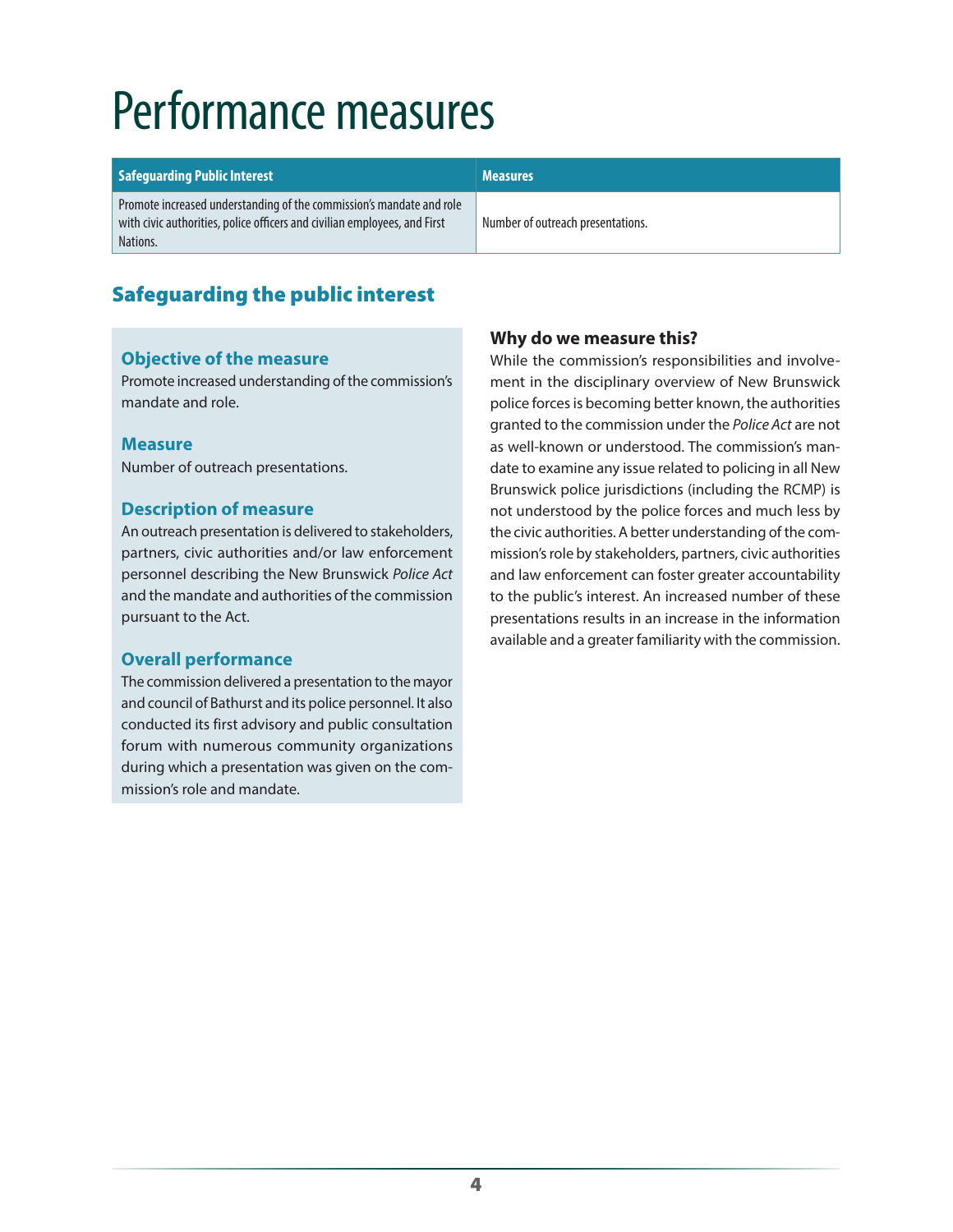### <span id="page-9-0"></span>Performance measures

| <b>Safeguarding Public Interest</b>                                                                                                                           | <b>Measures</b>                   |
|---------------------------------------------------------------------------------------------------------------------------------------------------------------|-----------------------------------|
| Promote increased understanding of the commission's mandate and role<br>with civic authorities, police officers and civilian employees, and First<br>Nations. | Number of outreach presentations. |

#### Safeguarding the public interest

#### **Objective of the measure**

Promote increased understanding of the commission's mandate and role.

#### **Measure**

Number of outreach presentations.

#### **Description of measure**

An outreach presentation is delivered to stakeholders, partners, civic authorities and/or law enforcement personnel describing the New Brunswick *Police Act* and the mandate and authorities of the commission pursuant to the Act.

#### **Overall performance**

The commission delivered a presentation to the mayor and council of Bathurst and its police personnel. It also conducted its first advisory and public consultation forum with numerous community organizations during which a presentation was given on the commission's role and mandate.

#### **Why do we measure this?**

While the commission's responsibilities and involvement in the disciplinary overview of New Brunswick police forces is becoming better known, the authorities granted to the commission under the *Police Act* are not as well-known or understood. The commission's mandate to examine any issue related to policing in all New Brunswick police jurisdictions (including the RCMP) is not understood by the police forces and much less by the civic authorities. A better understanding of the commission's role by stakeholders, partners, civic authorities and law enforcement can foster greater accountability to the public's interest. An increased number of these presentations results in an increase in the information available and a greater familiarity with the commission.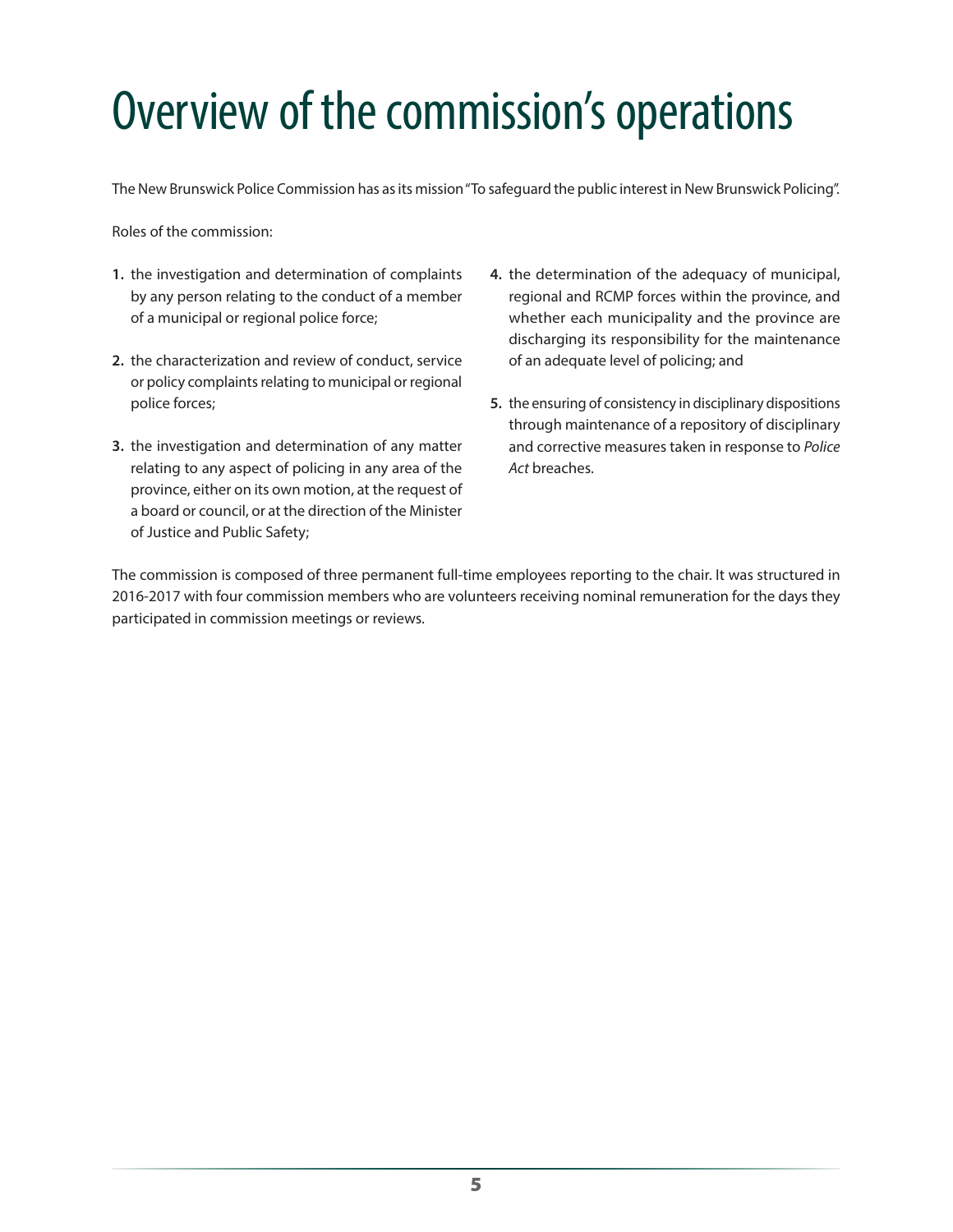# <span id="page-10-0"></span>Overview of the commission's operations

The New Brunswick Police Commission has as its mission "To safeguard the public interest in New Brunswick Policing".

Roles of the commission:

- **1.** the investigation and determination of complaints by any person relating to the conduct of a member of a municipal or regional police force;
- **2.** the characterization and review of conduct, service or policy complaints relating to municipal or regional police forces;
- **3.** the investigation and determination of any matter relating to any aspect of policing in any area of the province, either on its own motion, at the request of a board or council, or at the direction of the Minister of Justice and Public Safety;
- **4.** the determination of the adequacy of municipal, regional and RCMP forces within the province, and whether each municipality and the province are discharging its responsibility for the maintenance of an adequate level of policing; and
- **5.** the ensuring of consistency in disciplinary dispositions through maintenance of a repository of disciplinary and corrective measures taken in response to *Police Act* breaches.

The commission is composed of three permanent full-time employees reporting to the chair. It was structured in 2016-2017 with four commission members who are volunteers receiving nominal remuneration for the days they participated in commission meetings or reviews.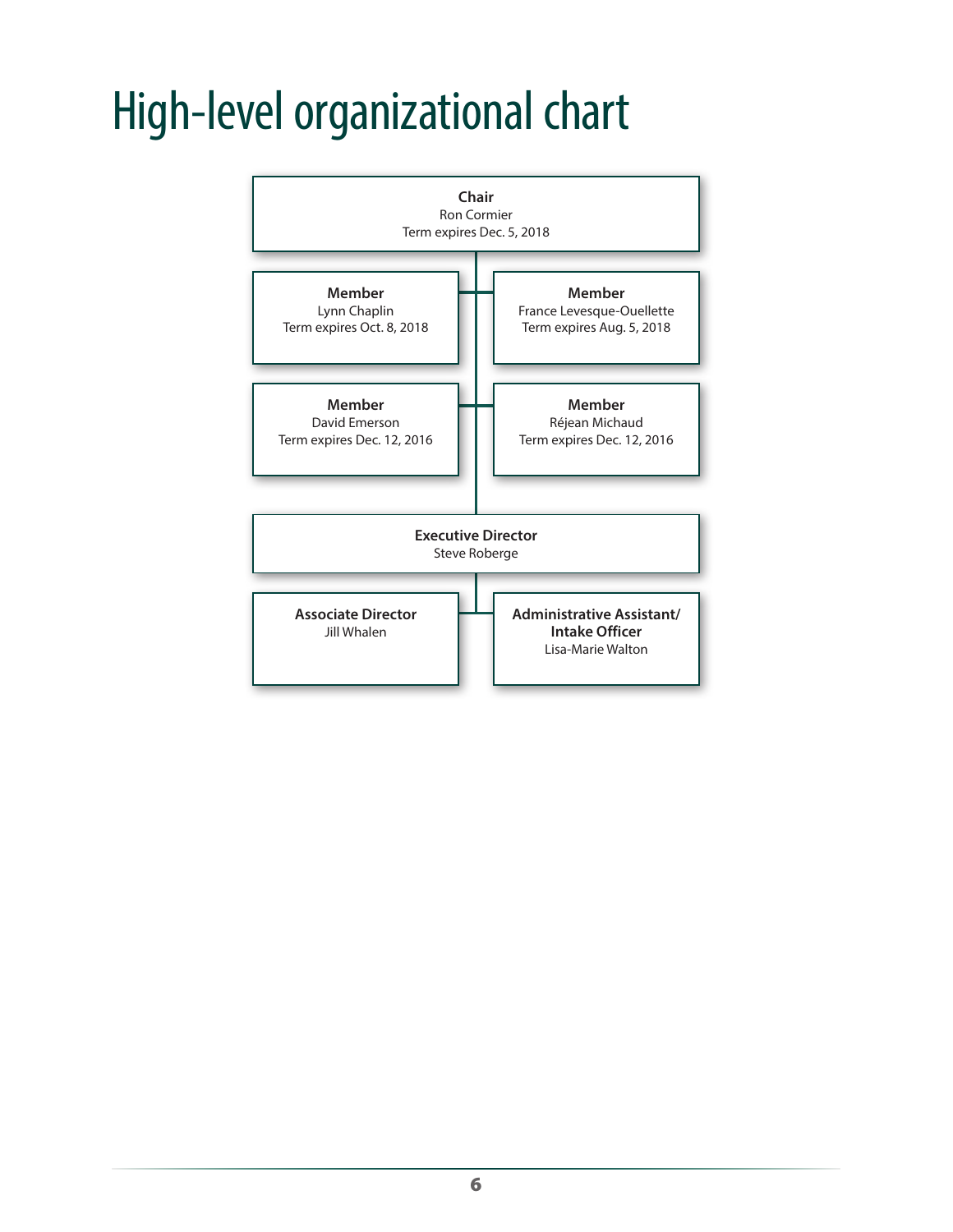### <span id="page-11-0"></span>High-level organizational chart

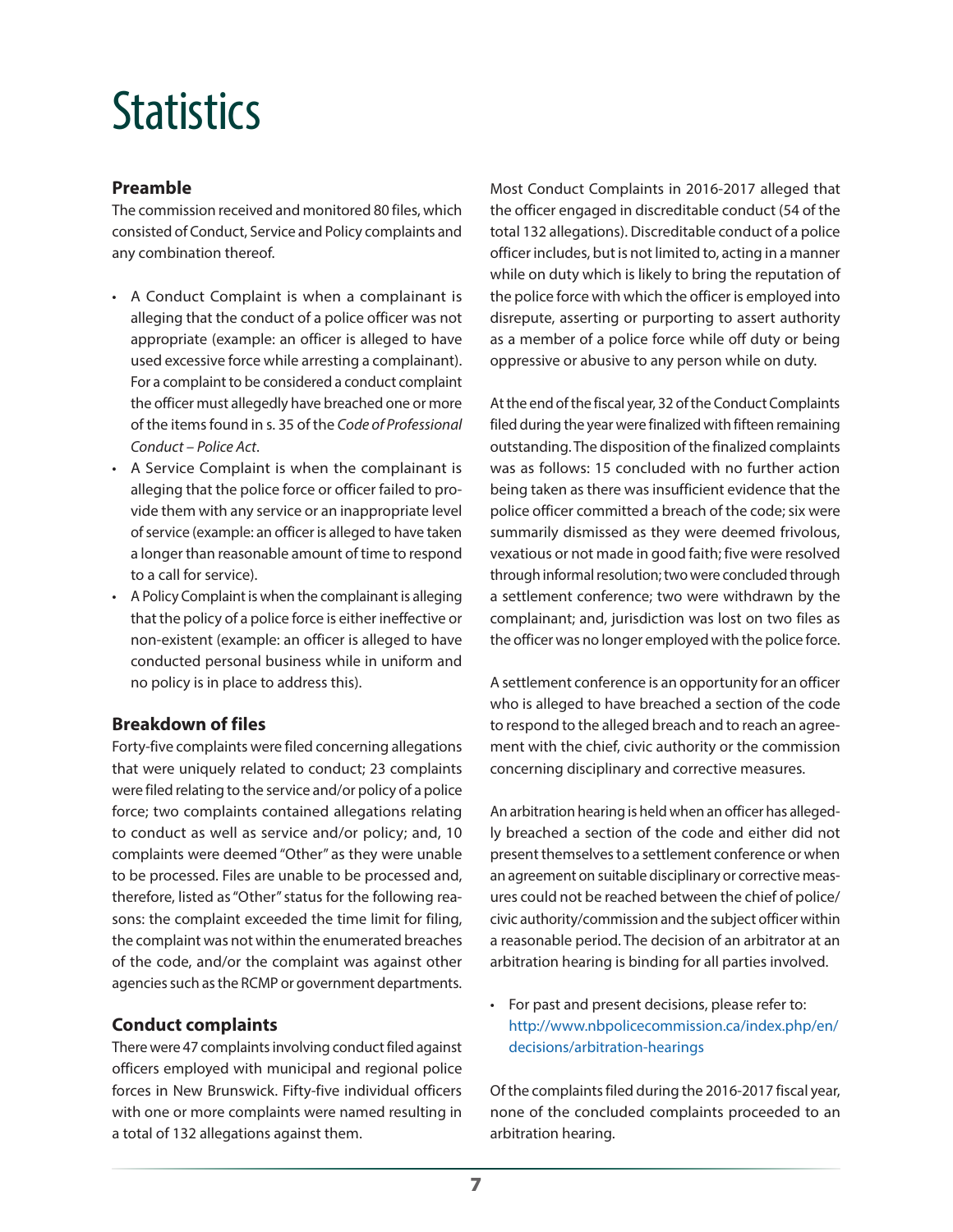### <span id="page-12-0"></span>**Statistics**

#### **Preamble**

The commission received and monitored 80 files, which consisted of Conduct, Service and Policy complaints and any combination thereof.

- A Conduct Complaint is when a complainant is alleging that the conduct of a police officer was not appropriate (example: an officer is alleged to have used excessive force while arresting a complainant). For a complaint to be considered a conduct complaint the officer must allegedly have breached one or more of the items found in s. 35 of the *Code of Professional Conduct – Police Act*.
- A Service Complaint is when the complainant is alleging that the police force or officer failed to provide them with any service or an inappropriate level of service (example: an officer is alleged to have taken a longer than reasonable amount of time to respond to a call for service).
- A Policy Complaint is when the complainant is alleging that the policy of a police force is either ineffective or non-existent (example: an officer is alleged to have conducted personal business while in uniform and no policy is in place to address this).

#### **Breakdown of files**

Forty-five complaints were filed concerning allegations that were uniquely related to conduct; 23 complaints were filed relating to the service and/or policy of a police force; two complaints contained allegations relating to conduct as well as service and/or policy; and, 10 complaints were deemed "Other" as they were unable to be processed. Files are unable to be processed and, therefore, listed as "Other" status for the following reasons: the complaint exceeded the time limit for filing, the complaint was not within the enumerated breaches of the code, and/or the complaint was against other agencies such as the RCMP or government departments.

#### **Conduct complaints**

There were 47 complaints involving conduct filed against officers employed with municipal and regional police forces in New Brunswick. Fifty-five individual officers with one or more complaints were named resulting in a total of 132 allegations against them.

Most Conduct Complaints in 2016-2017 alleged that the officer engaged in discreditable conduct (54 of the total 132 allegations). Discreditable conduct of a police officer includes, but is not limited to, acting in a manner while on duty which is likely to bring the reputation of the police force with which the officer is employed into disrepute, asserting or purporting to assert authority as a member of a police force while off duty or being oppressive or abusive to any person while on duty.

At the end of the fiscal year, 32 of the Conduct Complaints filed during the year were finalized with fifteen remaining outstanding. The disposition of the finalized complaints was as follows: 15 concluded with no further action being taken as there was insufficient evidence that the police officer committed a breach of the code; six were summarily dismissed as they were deemed frivolous, vexatious or not made in good faith; five were resolved through informal resolution; two were concluded through a settlement conference; two were withdrawn by the complainant; and, jurisdiction was lost on two files as the officer was no longer employed with the police force.

A settlement conference is an opportunity for an officer who is alleged to have breached a section of the code to respond to the alleged breach and to reach an agreement with the chief, civic authority or the commission concerning disciplinary and corrective measures.

An arbitration hearing is held when an officer has allegedly breached a section of the code and either did not present themselves to a settlement conference or when an agreement on suitable disciplinary or corrective measures could not be reached between the chief of police/ civic authority/commission and the subject officer within a reasonable period. The decision of an arbitrator at an arbitration hearing is binding for all parties involved.

• For past and present decisions, please refer to: [http://www.nbpolicecommission.ca/index.php/en/](http://www.nbpolicecommission.ca/index.php/en/decisions/arbitration-hearings) [decisions/arbitration-hearings](http://www.nbpolicecommission.ca/index.php/en/decisions/arbitration-hearings)

Of the complaints filed during the 2016-2017 fiscal year, none of the concluded complaints proceeded to an arbitration hearing.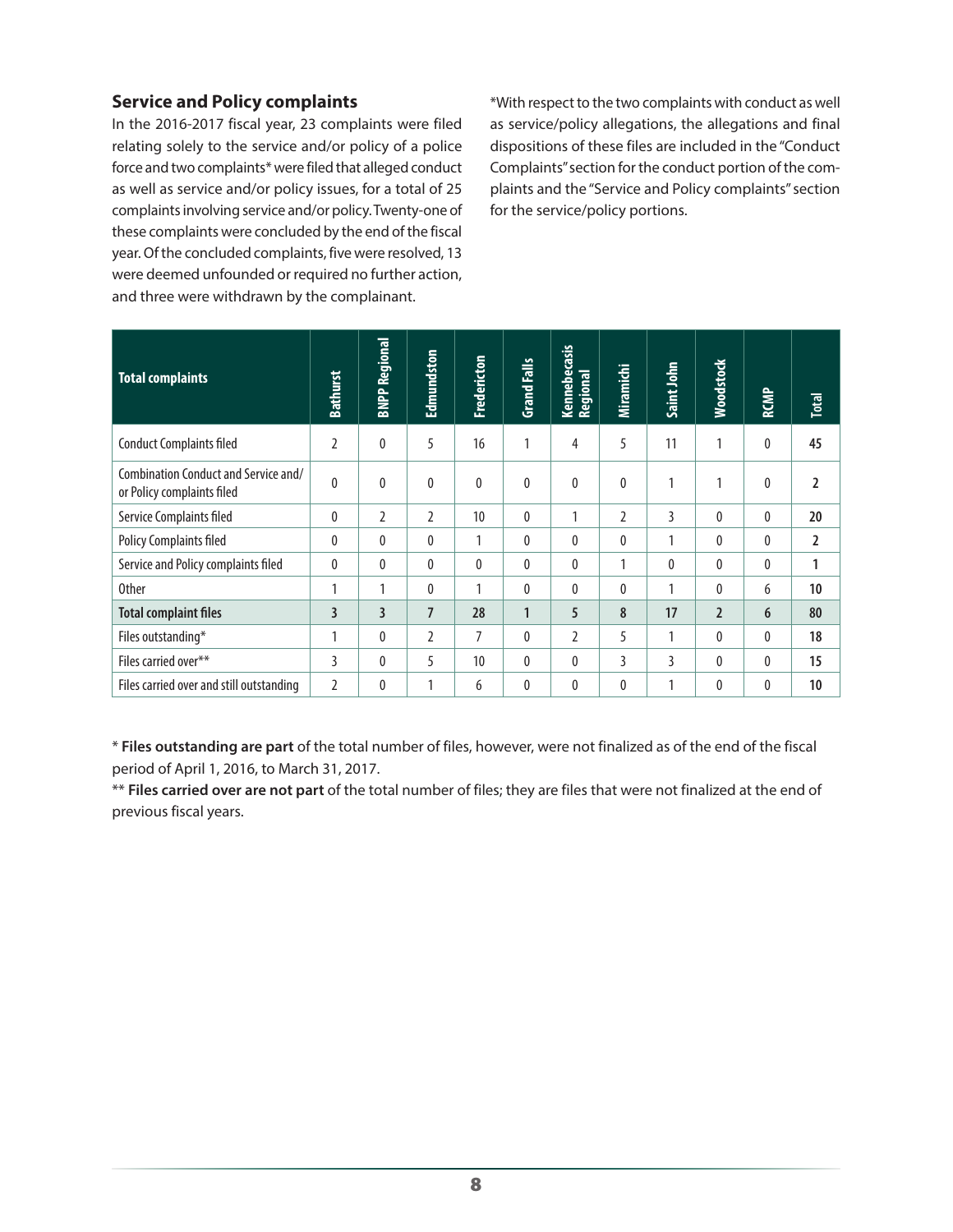#### **Service and Policy complaints**

In the 2016-2017 fiscal year, 23 complaints were filed relating solely to the service and/or policy of a police force and two complaints\* were filed that alleged conduct as well as service and/or policy issues, for a total of 25 complaints involving service and/or policy. Twenty-one of these complaints were concluded by the end of the fiscal year. Of the concluded complaints, five were resolved, 13 were deemed unfounded or required no further action, and three were withdrawn by the complainant.

\*With respect to the two complaints with conduct as well as service/policy allegations, the allegations and final dispositions of these files are included in the "Conduct Complaints" section for the conduct portion of the complaints and the "Service and Policy complaints" section for the service/policy portions.

| <b>Total complaints</b>                                            | <b>Bathurst</b> | <b>BNPP Regional</b>    | Edmundston     | Fredericton  | <b>Grand Falls</b> | Kennebecasis<br>Regional | Miramichi        | Saint John | <b>Woodstock</b> | RCMP     | <b>Total</b> |
|--------------------------------------------------------------------|-----------------|-------------------------|----------------|--------------|--------------------|--------------------------|------------------|------------|------------------|----------|--------------|
| <b>Conduct Complaints filed</b>                                    | $\overline{2}$  | $\mathbf{0}$            | 5              | 16           | 1                  | 4                        | 5                | 11         | 1                | 0        | 45           |
| Combination Conduct and Service and/<br>or Policy complaints filed | $\mathbf{0}$    | $\mathbf{0}$            | $\mathbf{0}$   | $\mathbf{0}$ | 0                  | $\mathbf{0}$             | $\boldsymbol{0}$ |            | 1                | 0        | 2            |
| Service Complaints filed                                           | 0               | $\overline{2}$          | $\overline{2}$ | 10           | 0                  | 1                        | $\overline{2}$   | 3          | 0                | 0        | 20           |
| Policy Complaints filed                                            | 0               | $\mathbf{0}$            | $\mathbf{0}$   | 1            | 0                  | $\mathbf{0}$             | $\mathbf{0}$     | 1          | 0                | 0        | 2            |
| Service and Policy complaints filed                                | $\mathbf{0}$    | $\mathbf{0}$            | $\Omega$       | $\theta$     | 0                  | $\mathbf{0}$             | 1                | 0          | 0                | 0        | 1            |
| <b>Other</b>                                                       | 1               | 1                       | $\mathbf{0}$   | 1            | $\mathbf{0}$       | $\mathbf{0}$             | $\mathbf{0}$     | 1          | $\mathbf{0}$     | 6        | 10           |
| <b>Total complaint files</b>                                       | $\overline{3}$  | $\overline{\mathbf{3}}$ | 7              | 28           | $\mathbf{1}$       | 5                        | 8                | 17         | $\overline{2}$   | 6        | 80           |
| Files outstanding*                                                 | 1               | $\mathbf{0}$            | 2              | 7            | 0                  | $\overline{2}$           | 5                | 1          | $\theta$         | 0        | 18           |
| Files carried over**                                               | 3               | $\mathbf{0}$            | 5              | 10           | $\mathbf{0}$       | $\mathbf{0}$             | 3                | 3          | $\mathbf{0}$     | 0        | 15           |
| Files carried over and still outstanding                           | 2               | 0                       | 1              | 6            | $\mathbf{0}$       | $\mathbf{0}$             | $\mathbf{0}$     |            | 0                | $\theta$ | 10           |

\* **Files outstanding are part** of the total number of files, however, were not finalized as of the end of the fiscal period of April 1, 2016, to March 31, 2017.

\*\* **Files carried over are not part** of the total number of files; they are files that were not finalized at the end of previous fiscal years.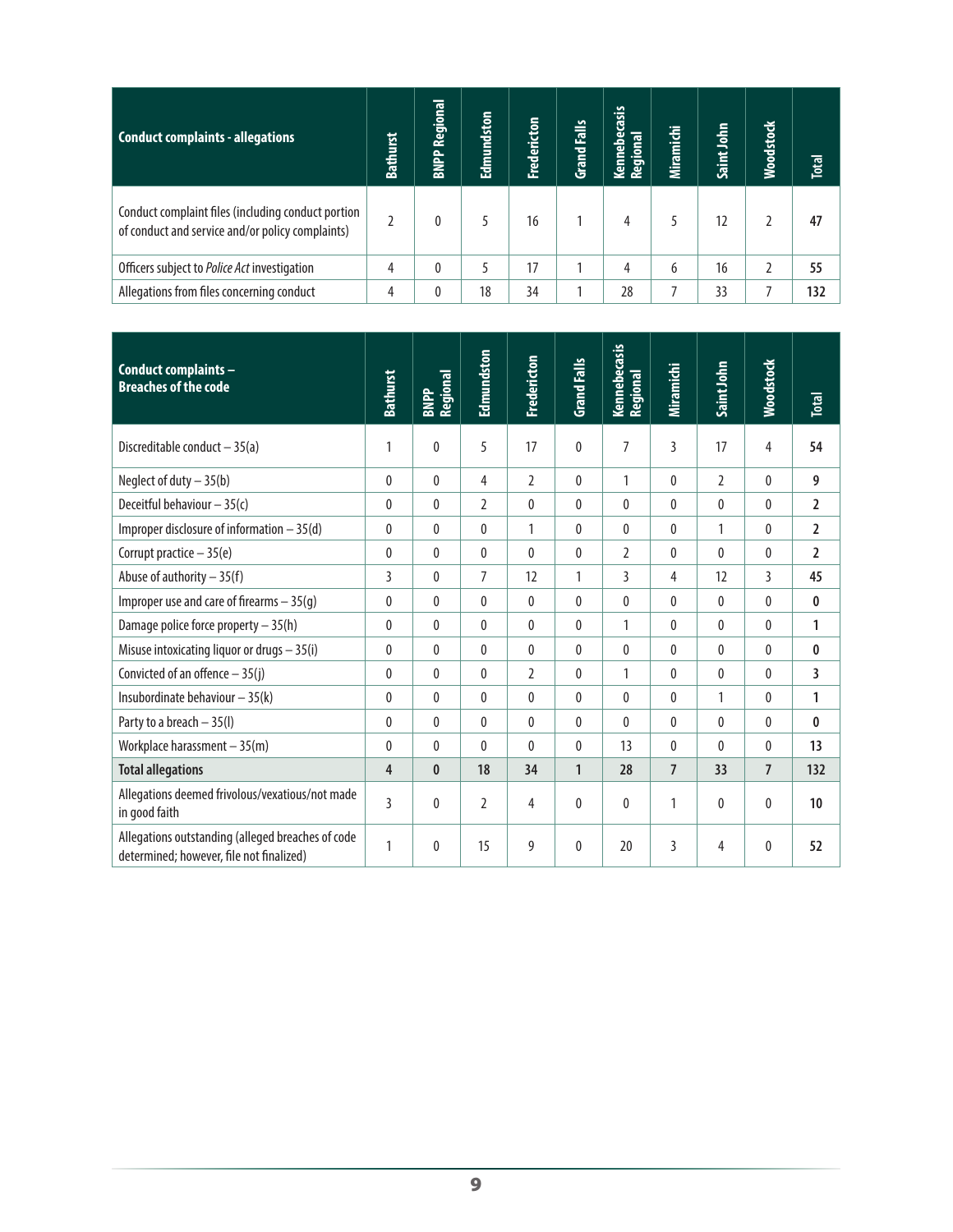| Conduct complaints - allegations                                                                       | <b>Bathurst</b> | Regional<br><b>BNPP</b> | Edmundston | <b>Fredericton</b> | Grand Falls | casis<br>تة<br>ਛ<br>Kenneb<br>으.<br><b>Reg</b> | Miramichi | Saint John | <b>Moodstock</b> | <b>Total</b> |
|--------------------------------------------------------------------------------------------------------|-----------------|-------------------------|------------|--------------------|-------------|------------------------------------------------|-----------|------------|------------------|--------------|
| Conduct complaint files (including conduct portion<br>of conduct and service and/or policy complaints) |                 |                         |            | 16                 |             | 4                                              |           | 12         |                  | 47           |
| Officers subject to <i>Police Act</i> investigation                                                    | 4               | 0                       |            | 17                 |             | 4                                              | 6         | 16         |                  | 55           |
| Allegations from files concerning conduct                                                              | 4               | 0                       | 18         | 34                 |             | 28                                             |           | 33         |                  | 132          |

| Conduct complaints -<br><b>Breaches of the code</b>                                           | <b>Bathurst</b> | Regional<br><b>BNPP</b> | Edmundston   | Fredericton    | <b>Grand Falls</b> | Kennebecasis<br>Regional | Miramichi      | Saint John     | <b>Moodstock</b> | <b>Total</b>   |
|-----------------------------------------------------------------------------------------------|-----------------|-------------------------|--------------|----------------|--------------------|--------------------------|----------------|----------------|------------------|----------------|
| Discreditable conduct $-35(a)$                                                                | $\mathbf 1$     | $\mathbf 0$             | 5            | 17             | $\mathbf{0}$       | 7                        | 3              | 17             | 4                | 54             |
| Neglect of duty $-35(b)$                                                                      | $\mathbf{0}$    | $\mathbf{0}$            | 4            | $\overline{2}$ | $\Omega$           | 1                        | $\theta$       | $\mathfrak{I}$ | $\mathbf{0}$     | 9              |
| Deceitful behaviour $-35(c)$                                                                  | $\bf{0}$        | $\mathbf{0}$            | 2            | $\mathbf{0}$   | $\Omega$           | 0                        | $\mathbf{0}$   | $\mathbf{0}$   | $\mathbf{0}$     | $\overline{2}$ |
| Improper disclosure of information $-35$ (d)                                                  | $\mathbf{0}$    | $\mathbf{0}$            | 0            | 1              | $\mathbf{0}$       | $\mathbf{0}$             | $\theta$       | 1              | 0                | $\overline{2}$ |
| Corrupt practice - 35(e)                                                                      | $\mathbf{0}$    | $\mathbf{0}$            | 0            | $\theta$       | $\mathbf{0}$       | $\overline{2}$           | $\theta$       | $\mathbf{0}$   | $\mathbf{0}$     | $\overline{2}$ |
| Abuse of authority $-35(f)$                                                                   | 3               | $\mathbf{0}$            | 7            | 12             | 1                  | 3                        | 4              | 12             | 3                | 45             |
| Improper use and care of firearms $-35(q)$                                                    | $\mathbf{0}$    | $\mathbf{0}$            | $\mathbf{0}$ | $\mathbf{0}$   | $\Omega$           | $\mathbf{0}$             | $\theta$       | $\Omega$       | 0                | $\mathbf{0}$   |
| Damage police force property $-35(h)$                                                         | $\bf{0}$        | $\theta$                | 0            | $\mathbf{0}$   | $\mathbf{0}$       | $\mathbf{1}$             | $\mathbf{0}$   | $\mathbf{0}$   | $\mathbf{0}$     | 1              |
| Misuse intoxicating liquor or drugs $-35(i)$                                                  | $\mathbf{0}$    | 0                       | 0            | $\mathbf{0}$   | $\mathbf{0}$       | 0                        | $\mathbf{0}$   | $\mathbf{0}$   | 0                | $\bf{0}$       |
| Convicted of an offence $-35(j)$                                                              | $\mathbf{0}$    | $\mathbf{0}$            | 0            | $\overline{2}$ | $\mathbf{0}$       | 1                        | $\theta$       | $\mathbf{0}$   | 0                | $\overline{3}$ |
| Insubordinate behaviour $-35(k)$                                                              | $\mathbf{0}$    | $\theta$                | $\mathbf{0}$ | $\theta$       | $\theta$           | $\mathbf{0}$             | $\theta$       | 1              | 0                | 1              |
| Party to a breach - 35(I)                                                                     | $\mathbf{0}$    | $\theta$                | 0            | $\mathbf{0}$   | $\mathbf{0}$       | 0                        | $\theta$       | $\mathbf{0}$   | 0                | $\mathbf{0}$   |
| Workplace harassment $-35(m)$                                                                 | $\pmb{0}$       | $\mathbf{0}$            | $\mathbf{0}$ | $\theta$       | $\mathbf{0}$       | 13                       | $\mathbf{0}$   | $\mathbf{0}$   | $\mathbf{0}$     | 13             |
| <b>Total allegations</b>                                                                      | 4               | $\mathbf{0}$            | 18           | 34             | $\mathbf{1}$       | 28                       | $\overline{7}$ | 33             | $\overline{7}$   | 132            |
| Allegations deemed frivolous/vexatious/not made<br>in good faith                              | $\overline{3}$  | $\mathbf{0}$            | 2            | $\overline{4}$ | $\mathbf{0}$       | 0                        | 1              | $\mathbf 0$    | 0                | 10             |
| Allegations outstanding (alleged breaches of code<br>determined; however, file not finalized) | 1               | $\mathbf{0}$            | 15           | 9              | $\mathbf{0}$       | 20                       | 3              | 4              | $\mathbf{0}$     | 52             |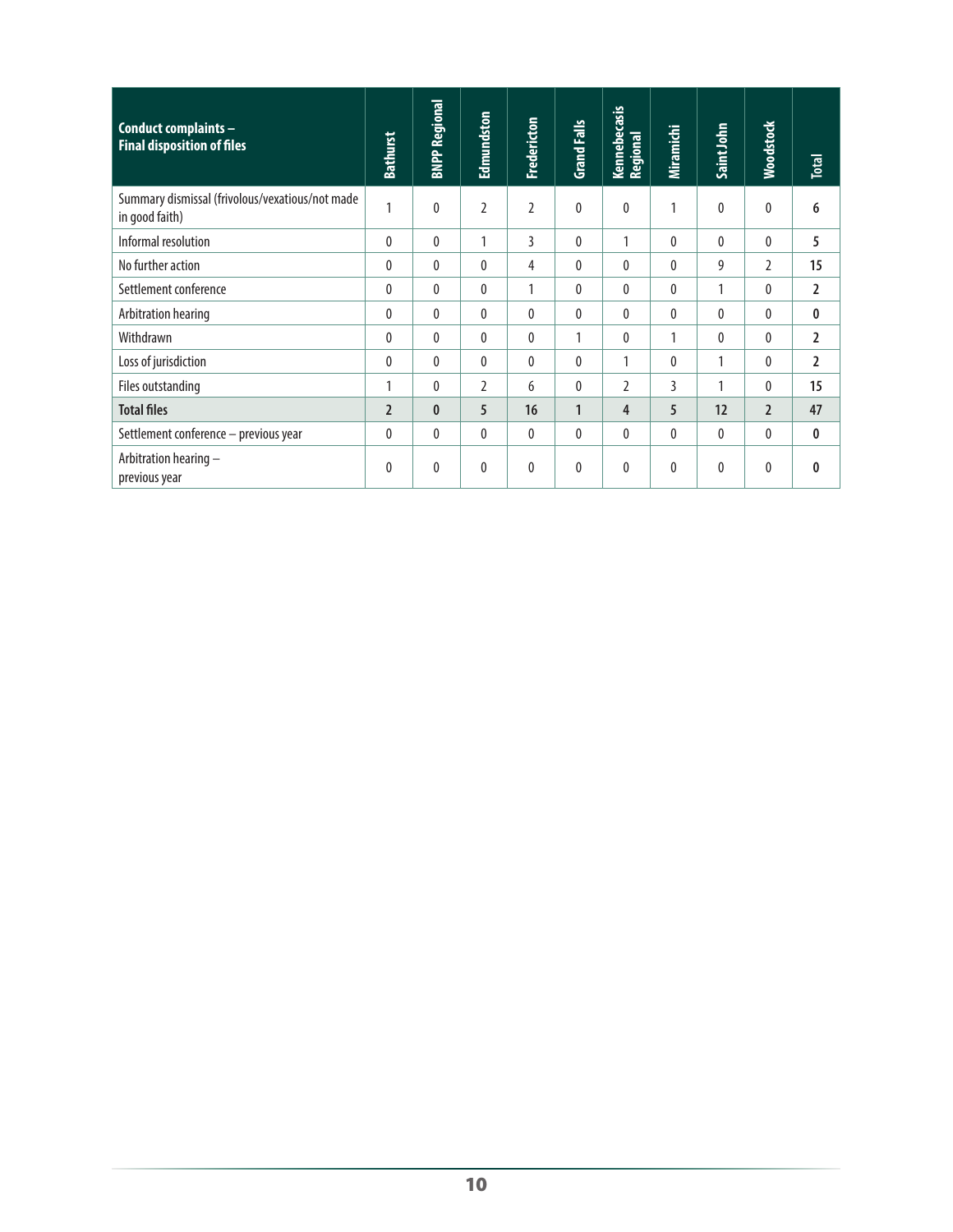| Conduct complaints -<br><b>Final disposition of files</b>         | <b>Bathurst</b> | <b>BNPP Regional</b> | Edmundston     | Fredericton    | <b>Grand Falls</b> | Kennebecasis<br>Regional | Miramichi    | Saint John   | <b>Woodstock</b> | <b>Total</b>   |
|-------------------------------------------------------------------|-----------------|----------------------|----------------|----------------|--------------------|--------------------------|--------------|--------------|------------------|----------------|
| Summary dismissal (frivolous/vexatious/not made<br>in good faith) | 1               | 0                    | $\overline{2}$ | $\overline{2}$ | $\mathbf{0}$       | 0                        | 1            | 0            | 0                | 6              |
| Informal resolution                                               | $\mathbf{0}$    | 0                    | 1              | 3              | $\mathbf{0}$       | 1                        | $\mathbf{0}$ | $\mathbf{0}$ | 0                | 5              |
| No further action                                                 | $\mathbf{0}$    | $\mathbf{0}$         | 0              | 4              | $\Omega$           | 0                        | $\theta$     | 9            | $\mathfrak z$    | 15             |
| Settlement conference                                             | 0               | 0                    | 0              | 1              | 0                  | $\theta$                 | 0            | 1            | 0                | $\overline{2}$ |
| Arbitration hearing                                               | $\mathbf{0}$    | $\mathbf{0}$         | $\mathbf{0}$   | $\theta$       | $\theta$           | $\mathbf{0}$             | $\theta$     | $\mathbf{0}$ | $\mathbf{0}$     | 0              |
| Withdrawn                                                         | $\mathbf{0}$    | $\theta$             | 0              | $\theta$       | 1                  | $\theta$                 | 1            | $\mathbf{0}$ | $\mathbf{0}$     | $\overline{2}$ |
| Loss of jurisdiction                                              | $\Omega$        | 0                    | 0              | $\theta$       | $\mathbf{0}$       | 1                        | $\theta$     | 1            | $\theta$         | $\overline{2}$ |
| Files outstanding                                                 | 1               | 0                    | 2              | 6              | 0                  | $\overline{2}$           | 3            | 1            | 0                | 15             |
| <b>Total files</b>                                                | $\overline{2}$  | $\mathbf{0}$         | 5              | 16             | $\mathbf{1}$       | 4                        | 5            | 12           | $\overline{2}$   | 47             |
| Settlement conference - previous year                             | $\mathbf{0}$    | $\mathbf{0}$         | $\theta$       | $\theta$       | $\theta$           | $\mathbf{0}$             | $\theta$     | $\mathbf{0}$ | $\mathbf{0}$     | 0              |
| Arbitration hearing -<br>previous year                            | $\mathbf{0}$    | 0                    | 0              | $\theta$       | $\theta$           | $\theta$                 | $\mathbf{0}$ | $\mathbf{0}$ | 0                | $\mathbf{0}$   |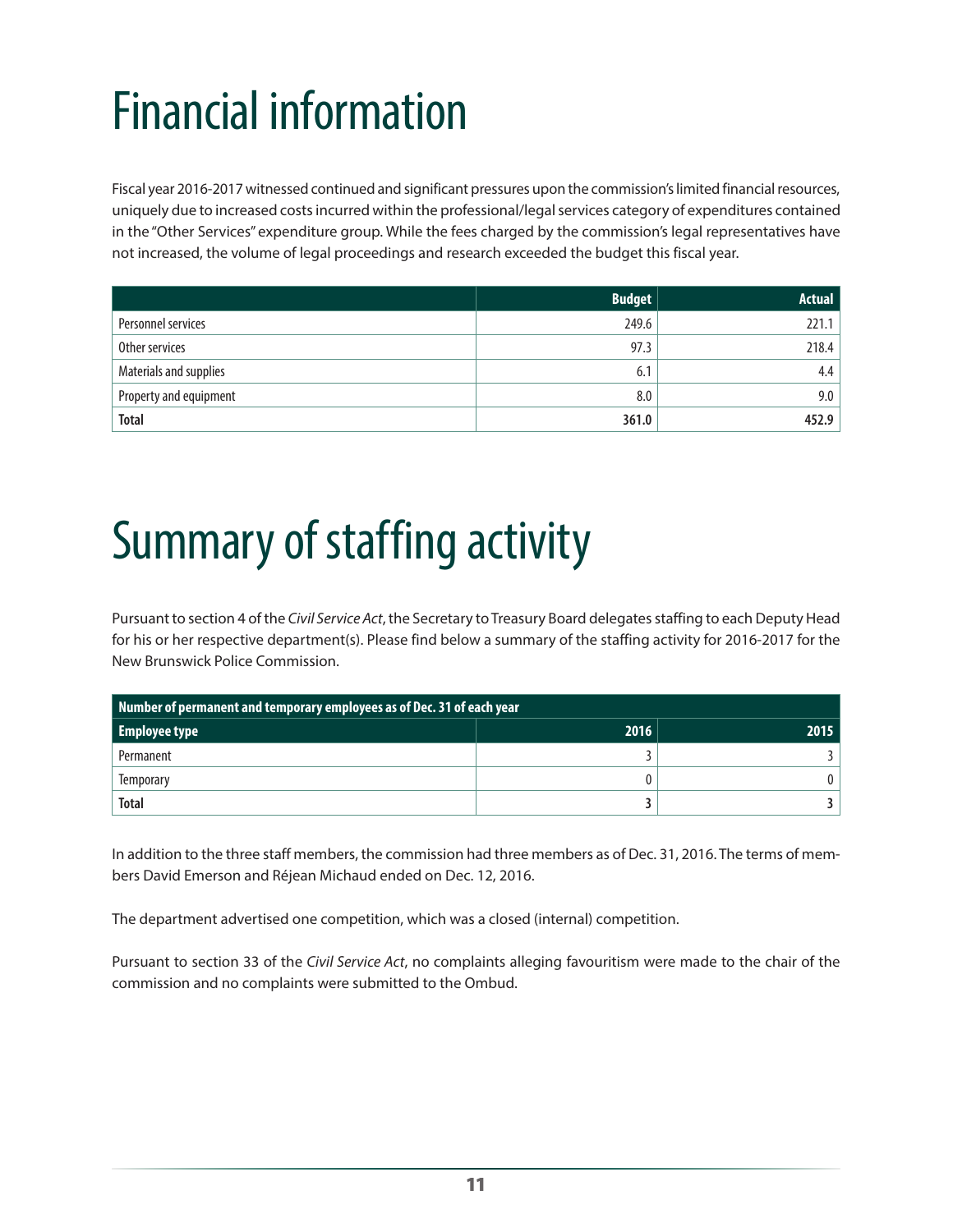# <span id="page-16-0"></span>Financial information

Fiscal year 2016-2017 witnessed continued and significant pressures upon the commission's limited financial resources, uniquely due to increased costs incurred within the professional/legal services category of expenditures contained in the "Other Services" expenditure group. While the fees charged by the commission's legal representatives have not increased, the volume of legal proceedings and research exceeded the budget this fiscal year.

|                        | <b>Budget</b> | <b>Actual</b> |
|------------------------|---------------|---------------|
| Personnel services     | 249.6         | 221.1         |
| Other services         | 97.3          | 218.4         |
| Materials and supplies | 6.1           | 4.4           |
| Property and equipment | 8.0           | 9.0           |
| <b>Total</b>           | 361.0         | 452.9         |

# Summary of staffing activity

Pursuant to section 4 of the *Civil Service Act*, the Secretary to Treasury Board delegates staffing to each Deputy Head for his or her respective department(s). Please find below a summary of the staffing activity for 2016-2017 for the New Brunswick Police Commission.

| Number of permanent and temporary employees as of Dec. 31 of each year |      |      |  |  |  |  |  |  |
|------------------------------------------------------------------------|------|------|--|--|--|--|--|--|
| <b>Employee type</b>                                                   | 2016 | 2015 |  |  |  |  |  |  |
| Permanent                                                              |      |      |  |  |  |  |  |  |
| Temporary                                                              |      |      |  |  |  |  |  |  |
| <b>Total</b>                                                           |      |      |  |  |  |  |  |  |

In addition to the three staff members, the commission had three members as of Dec. 31, 2016. The terms of members David Emerson and Réjean Michaud ended on Dec. 12, 2016.

The department advertised one competition, which was a closed (internal) competition.

Pursuant to section 33 of the *Civil Service Act*, no complaints alleging favouritism were made to the chair of the commission and no complaints were submitted to the Ombud.